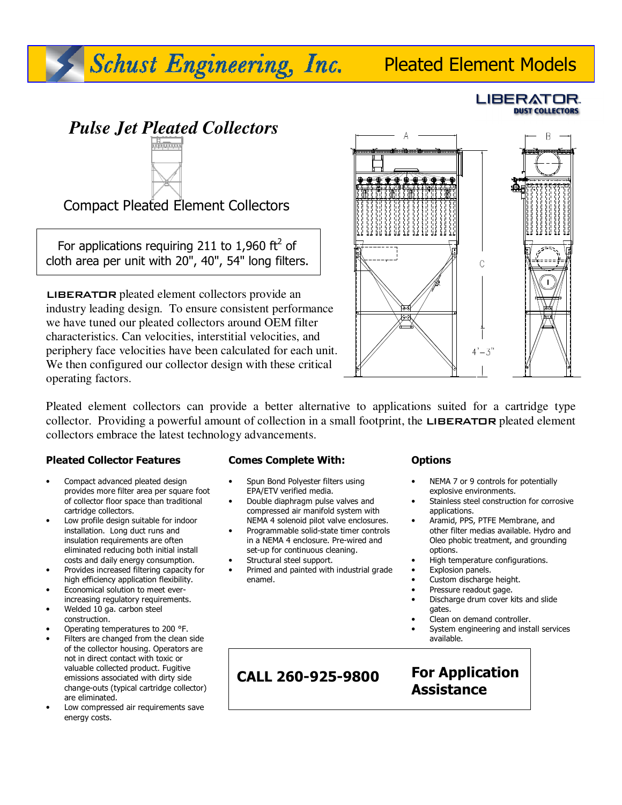# Pleated Element Models

 *Pulse Jet Pleated Collectors* 

Schust Engineering, Inc.

Compact Pleated Element Collectors

For applications requiring 211 to 1,960  $\text{ft}^2$  of cloth area per unit with 20", 40", 54" long filters.

LIBERATOR pleated element collectors provide an industry leading design. To ensure consistent performance we have tuned our pleated collectors around OEM filter characteristics. Can velocities, interstitial velocities, and periphery face velocities have been calculated for each unit. We then configured our collector design with these critical operating factors.



Pleated element collectors can provide a better alternative to applications suited for a cartridge type collector. Providing a powerful amount of collection in a small footprint, the **LIBERATOR** pleated element collectors embrace the latest technology advancements.

ׇ֦֘֡

### **Pleated Collector Features**

İ

- Compact advanced pleated design provides more filter area per square foot of collector floor space than traditional cartridge collectors.
- Low profile design suitable for indoor installation. Long duct runs and insulation requirements are often eliminated reducing both initial install costs and daily energy consumption.
- Provides increased filtering capacity for high efficiency application flexibility.
- Economical solution to meet everincreasing regulatory requirements.
- Welded 10 ga. carbon steel construction.
- Operating temperatures to 200 °F.
- Filters are changed from the clean side of the collector housing. Operators are not in direct contact with toxic or valuable collected product. Fugitive emissions associated with dirty side change-outs (typical cartridge collector) are eliminated.
- Low compressed air requirements save energy costs.

### **Comes Complete With:**

- Spun Bond Polyester filters using EPA/ETV verified media.
- Double diaphragm pulse valves and compressed air manifold system with NEMA 4 solenoid pilot valve enclosures.
- Programmable solid-state timer controls in a NEMA 4 enclosure. Pre-wired and set-up for continuous cleaning.
- Structural steel support.

 $\overline{\phantom{a}}$ 

• Primed and painted with industrial grade enamel.

### **Options**

- NEMA 7 or 9 controls for potentially explosive environments.
- Stainless steel construction for corrosive applications.
- Aramid, PPS, PTFE Membrane, and other filter medias available. Hydro and Oleo phobic treatment, and grounding options.
- High temperature configurations.
- Explosion panels.
- Custom discharge height.
- Pressure readout gage.
- Discharge drum cover kits and slide gates.
- Clean on demand controller.
- System engineering and install services available.

# **CALL 260-925-9800**

**For Application Assistance** 

### LIBERATOR. **DUST COLLECTORS**